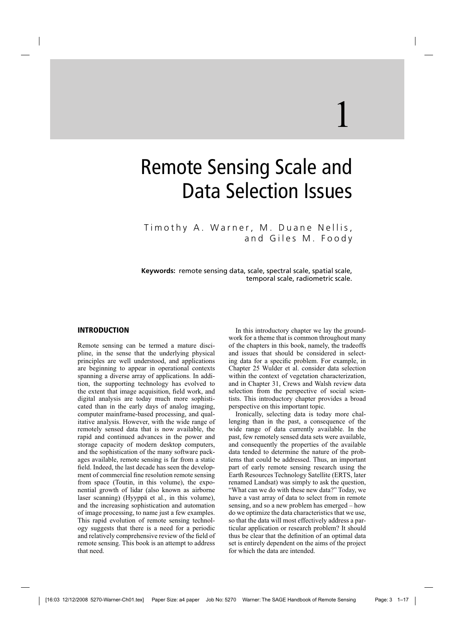# 1

# Remote Sensing Scale and Data Selection Issues

Timothy A. Warner, M. Duane Nellis, and Giles M. Foody

**Keywords:** remote sensing data, scale, spectral scale, spatial scale, temporal scale, radiometric scale.

#### INTRODUCTION

Remote sensing can be termed a mature discipline, in the sense that the underlying physical principles are well understood, and applications are beginning to appear in operational contexts spanning a diverse array of applications. In addition, the supporting technology has evolved to the extent that image acquisition, field work, and digital analysis are today much more sophisticated than in the early days of analog imaging, computer mainframe-based processing, and qualitative analysis. However, with the wide range of remotely sensed data that is now available, the rapid and continued advances in the power and storage capacity of modern desktop computers, and the sophistication of the many software packages available, remote sensing is far from a static field. Indeed, the last decade has seen the development of commercial fine resolution remote sensing from space (Toutin, in this volume), the exponential growth of lidar (also known as airborne laser scanning) (Hyyppä et al., in this volume), and the increasing sophistication and automation of image processing, to name just a few examples. This rapid evolution of remote sensing technology suggests that there is a need for a periodic and relatively comprehensive review of the field of remote sensing. This book is an attempt to address that need.

In this introductory chapter we lay the groundwork for a theme that is common throughout many of the chapters in this book, namely, the tradeoffs and issues that should be considered in selecting data for a specific problem. For example, in Chapter 25 Wulder et al. consider data selection within the context of vegetation characterization, and in Chapter 31, Crews and Walsh review data selection from the perspective of social scientists. This introductory chapter provides a broad perspective on this important topic.

Ironically, selecting data is today more challenging than in the past, a consequence of the wide range of data currently available. In the past, few remotely sensed data sets were available, and consequently the properties of the available data tended to determine the nature of the problems that could be addressed. Thus, an important part of early remote sensing research using the Earth Resources Technology Satellite (ERTS, later renamed Landsat) was simply to ask the question, "What can we do with these new data?" Today, we have a vast array of data to select from in remote sensing, and so a new problem has emerged – how do we optimize the data characteristics that we use, so that the data will most effectively address a particular application or research problem? It should thus be clear that the definition of an optimal data set is entirely dependent on the aims of the project for which the data are intended.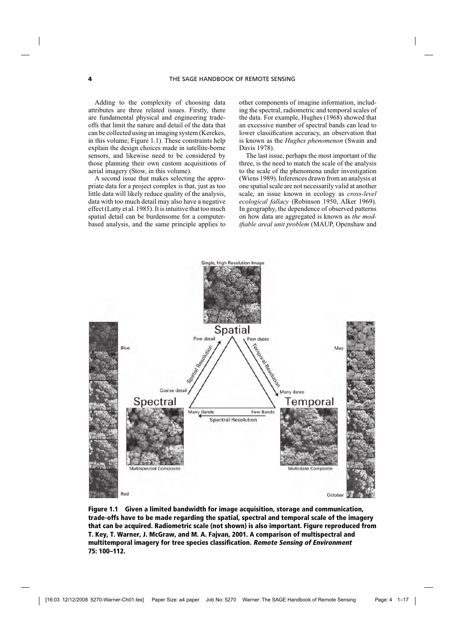Adding to the complexity of choosing data attributes are three related issues. Firstly, there are fundamental physical and engineering tradeoffs that limit the nature and detail of the data that can be collected using an imaging system (Kerekes, in this volume; Figure 1.1). These constraints help explain the design choices made in satellite-borne sensors, and likewise need to be considered by those planning their own custom acquisitions of aerial imagery (Stow, in this volume).

A second issue that makes selecting the appropriate data for a project complex is that, just as too little data will likely reduce quality of the analysis, data with too much detail may also have a negative effect (Latty et al. 1985). It is intuitive that too much spatial detail can be burdensome for a computerbased analysis, and the same principle applies to other components of imagine information, including the spectral, radiometric and temporal scales of the data. For example, Hughes (1968) showed that an excessive number of spectral bands can lead to lower classification accuracy, an observation that is known as the *Hughes phenomenon* (Swain and Davis 1978).

The last issue, perhaps the most important of the three, is the need to match the scale of the analysis to the scale of the phenomena under investigation (Wiens 1989). Inferences drawn from an analysis at one spatial scale are not necessarily valid at another scale, an issue known in ecology as *cross-level ecological fallacy* (Robinson 1950, Alker 1969). In geography, the dependence of observed patterns on how data are aggregated is known as *the modifiable areal unit problem* (MAUP, Openshaw and



Figure 1.1 Given a limited bandwidth for image acquisition, storage and communication, trade-offs have to be made regarding the spatial, spectral and temporal scale of the imagery that can be acquired. Radiometric scale (not shown) is also important. Figure reproduced from T. Key, T. Warner, J. McGraw, and M. A. Fajvan, 2001. A comparison of multispectral and multitemporal imagery for tree species classification. *Remote Sensing of Environment* 75: 100–112.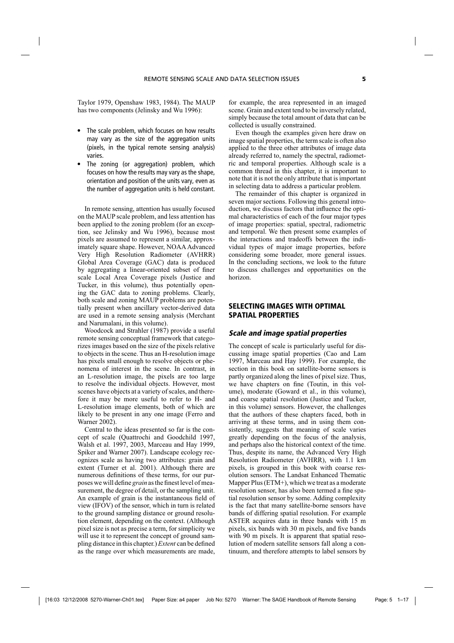Taylor 1979, Openshaw 1983, 1984). The MAUP has two components (Jelinsky and Wu 1996):

- The scale problem, which focuses on how results may vary as the size of the aggregation units (pixels, in the typical remote sensing analysis) varies.
- The zoning (or aggregation) problem, which focuses on how the results may vary as the shape, orientation and position of the units vary, even as the number of aggregation units is held constant.

In remote sensing, attention has usually focused on the MAUP scale problem, and less attention has been applied to the zoning problem (for an exception, see Jelinsky and Wu 1996), because most pixels are assumed to represent a similar, approximately square shape. However, NOAA Advanced Very High Resolution Radiometer (AVHRR) Global Area Coverage (GAC) data is produced by aggregating a linear-oriented subset of finer scale Local Area Coverage pixels (Justice and Tucker, in this volume), thus potentially opening the GAC data to zoning problems. Clearly, both scale and zoning MAUP problems are potentially present when ancillary vector-derived data are used in a remote sensing analysis (Merchant and Narumalani, in this volume).

Woodcock and Strahler (1987) provide a useful remote sensing conceptual framework that categorizes images based on the size of the pixels relative to objects in the scene. Thus an H-resolution image has pixels small enough to resolve objects or phenomena of interest in the scene. In contrast, in an L-resolution image, the pixels are too large to resolve the individual objects. However, most scenes have objects at a variety of scales, and therefore it may be more useful to refer to H- and L-resolution image elements, both of which are likely to be present in any one image (Ferro and Warner 2002).

Central to the ideas presented so far is the concept of scale (Quattrochi and Goodchild 1997, Walsh et al. 1997, 2003, Marceau and Hay 1999, Spiker and Warner 2007). Landscape ecology recognizes scale as having two attributes: grain and extent (Turner et al. 2001). Although there are numerous definitions of these terms, for our purposes we will define *grain* as the finest level of measurement, the degree of detail, or the sampling unit. An example of grain is the instantaneous field of view (IFOV) of the sensor, which in turn is related to the ground sampling distance or ground resolution element, depending on the context. (Although pixel size is not as precise a term, for simplicity we will use it to represent the concept of ground sampling distance in this chapter.)*Extent* can be defined as the range over which measurements are made,

for example, the area represented in an imaged scene. Grain and extent tend to be inversely related, simply because the total amount of data that can be collected is usually constrained.

Even though the examples given here draw on image spatial properties, the term scale is often also applied to the three other attributes of image data already referred to, namely the spectral, radiometric and temporal properties. Although scale is a common thread in this chapter, it is important to note that it is not the only attribute that is important in selecting data to address a particular problem.

The remainder of this chapter is organized in seven major sections. Following this general introduction, we discuss factors that influence the optimal characteristics of each of the four major types of image properties: spatial, spectral, radiometric and temporal. We then present some examples of the interactions and tradeoffs between the individual types of major image properties, before considering some broader, more general issues. In the concluding sections, we look to the future to discuss challenges and opportunities on the horizon.

# SELECTING IMAGES WITH OPTIMAL SPATIAL PROPERTIES

#### *Scale and image spatial properties*

The concept of scale is particularly useful for discussing image spatial properties (Cao and Lam 1997, Marceau and Hay 1999). For example, the section in this book on satellite-borne sensors is partly organized along the lines of pixel size. Thus, we have chapters on fine (Toutin, in this volume), moderate (Goward et al., in this volume), and coarse spatial resolution (Justice and Tucker, in this volume) sensors. However, the challenges that the authors of these chapters faced, both in arriving at these terms, and in using them consistently, suggests that meaning of scale varies greatly depending on the focus of the analysis, and perhaps also the historical context of the time. Thus, despite its name, the Advanced Very High Resolution Radiometer (AVHRR), with 1.1 km pixels, is grouped in this book with coarse resolution sensors. The Landsat Enhanced Thematic Mapper Plus (ETM+), which we treat as a moderate resolution sensor, has also been termed a fine spatial resolution sensor by some. Adding complexity is the fact that many satellite-borne sensors have bands of differing spatial resolution. For example ASTER acquires data in three bands with 15 m pixels, six bands with 30 m pixels, and five bands with 90 m pixels. It is apparent that spatial resolution of modern satellite sensors fall along a continuum, and therefore attempts to label sensors by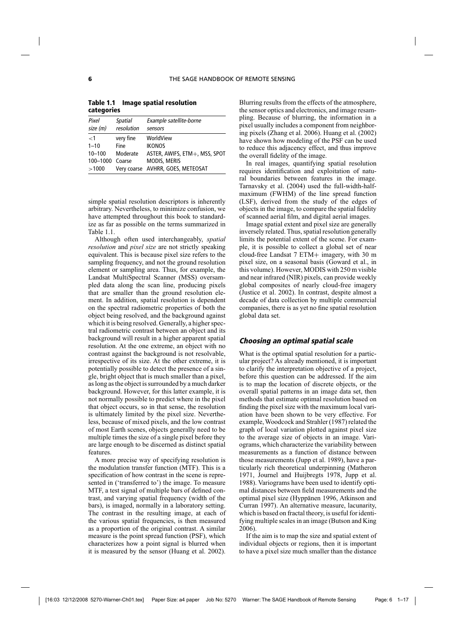|            | Table 1.1 Image spatial resolution |  |
|------------|------------------------------------|--|
| categories |                                    |  |

| Pixel<br>size (m) | Spatial<br>resolution | Example satellite-borne<br>sensors |
|-------------------|-----------------------|------------------------------------|
| ${<}1$            | very fine             | WorldView                          |
| $1 - 10$          | <b>Fine</b>           | <b>IKONOS</b>                      |
| $10 - 100$        | Moderate              | ASTER, AWIFS, ETM+, MSS, SPOT      |
| 100-1000          | Coarse                | <b>MODIS, MERIS</b>                |
| >1000             |                       | Very coarse AVHRR, GOES, METEOSAT  |

simple spatial resolution descriptors is inherently arbitrary. Nevertheless, to minimize confusion, we have attempted throughout this book to standardize as far as possible on the terms summarized in Table 1.1.

Although often used interchangeably, *spatial resolution* and *pixel size* are not strictly speaking equivalent. This is because pixel size refers to the sampling frequency, and not the ground resolution element or sampling area. Thus, for example, the Landsat MultiSpectral Scanner (MSS) oversampled data along the scan line, producing pixels that are smaller than the ground resolution element. In addition, spatial resolution is dependent on the spectral radiometric properties of both the object being resolved, and the background against which it is being resolved. Generally, a higher spectral radiometric contrast between an object and its background will result in a higher apparent spatial resolution. At the one extreme, an object with no contrast against the background is not resolvable, irrespective of its size. At the other extreme, it is potentially possible to detect the presence of a single, bright object that is much smaller than a pixel, as long as the object is surrounded by a much darker background. However, for this latter example, it is not normally possible to predict where in the pixel that object occurs, so in that sense, the resolution is ultimately limited by the pixel size. Nevertheless, because of mixed pixels, and the low contrast of most Earth scenes, objects generally need to be multiple times the size of a single pixel before they are large enough to be discerned as distinct spatial features.

A more precise way of specifying resolution is the modulation transfer function (MTF). This is a specification of how contrast in the scene is represented in ('transferred to') the image. To measure MTF, a test signal of multiple bars of defined contrast, and varying spatial frequency (width of the bars), is imaged, normally in a laboratory setting. The contrast in the resulting image, at each of the various spatial frequencies, is then measured as a proportion of the original contrast. A similar measure is the point spread function (PSF), which characterizes how a point signal is blurred when it is measured by the sensor (Huang et al. 2002). Blurring results from the effects of the atmosphere, the sensor optics and electronics, and image resampling. Because of blurring, the information in a pixel usually includes a component from neighboring pixels (Zhang et al. 2006). Huang et al. (2002) have shown how modeling of the PSF can be used to reduce this adjacency effect, and thus improve the overall fidelity of the image.

In real images, quantifying spatial resolution requires identification and exploitation of natural boundaries between features in the image. Tarnavsky et al. (2004) used the full-width-halfmaximum (FWHM) of the line spread function (LSF), derived from the study of the edges of objects in the image, to compare the spatial fidelity of scanned aerial film, and digital aerial images.

Image spatial extent and pixel size are generally inversely related. Thus, spatial resolution generally limits the potential extent of the scene. For example, it is possible to collect a global set of near cloud-free Landsat 7 ETM+ imagery, with 30 m pixel size, on a seasonal basis (Goward et al., in this volume). However, MODIS with 250 m visible and near infrared (NIR) pixels, can provide weekly global composites of nearly cloud-free imagery (Justice et al. 2002). In contrast, despite almost a decade of data collection by multiple commercial companies, there is as yet no fine spatial resolution global data set.

#### *Choosing an optimal spatial scale*

What is the optimal spatial resolution for a particular project? As already mentioned, it is important to clarify the interpretation objective of a project, before this question can be addressed. If the aim is to map the location of discrete objects, or the overall spatial patterns in an image data set, then methods that estimate optimal resolution based on finding the pixel size with the maximum local variation have been shown to be very effective. For example,Woodcock and Strahler (1987) related the graph of local variation plotted against pixel size to the average size of objects in an image. Variograms, which characterize the variability between measurements as a function of distance between those measurements (Jupp et al. 1989), have a particularly rich theoretical underpinning (Matheron 1971, Journel and Huijbregts 1978, Jupp et al. 1988). Variograms have been used to identify optimal distances between field measurements and the optimal pixel size (Hyppänen 1996, Atkinson and Curran 1997). An alternative measure, lacunarity, which is based on fractal theory, is useful for identifying multiple scales in an image (Butson and King 2006).

If the aim is to map the size and spatial extent of individual objects or regions, then it is important to have a pixel size much smaller than the distance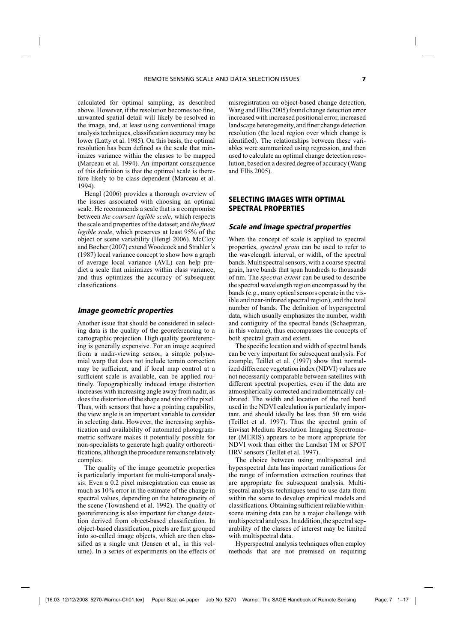calculated for optimal sampling, as described above. However, if the resolution becomes too fine, unwanted spatial detail will likely be resolved in the image, and, at least using conventional image analysis techniques, classification accuracy may be lower (Latty et al. 1985). On this basis, the optimal resolution has been defined as the scale that minimizes variance within the classes to be mapped (Marceau et al. 1994). An important consequence of this definition is that the optimal scale is therefore likely to be class-dependent (Marceau et al. 1994).

Hengl (2006) provides a thorough overview of the issues associated with choosing an optimal scale. He recommends a scale that is a compromise between *the coarsest legible scale*, which respects the scale and properties of the dataset; and *the finest legible scale*, which preserves at least 95% of the object or scene variability (Hengl 2006). McCloy and Bøcher (2007) extendWoodcock and Strahler's (1987) local variance concept to show how a graph of average local variance (AVL) can help predict a scale that minimizes within class variance, and thus optimizes the accuracy of subsequent classifications.

#### *Image geometric properties*

Another issue that should be considered in selecting data is the quality of the georeferencing to a cartographic projection. High quality georeferencing is generally expensive. For an image acquired from a nadir-viewing sensor, a simple polynomial warp that does not include terrain correction may be sufficient, and if local map control at a sufficient scale is available, can be applied routinely. Topographically induced image distortion increases with increasing angle away from nadir, as does the distortion of the shape and size of the pixel. Thus, with sensors that have a pointing capability, the view angle is an important variable to consider in selecting data. However, the increasing sophistication and availability of automated photogrammetric software makes it potentially possible for non-specialists to generate high quality orthorectifications, although the procedure remains relatively complex.

The quality of the image geometric properties is particularly important for multi-temporal analysis. Even a 0.2 pixel misregistration can cause as much as 10% error in the estimate of the change in spectral values, depending on the heterogeneity of the scene (Townshend et al. 1992). The quality of georeferencing is also important for change detection derived from object-based classification. In object-based classification, pixels are first grouped into so-called image objects, which are then classified as a single unit (Jensen et al., in this volume). In a series of experiments on the effects of misregistration on object-based change detection, Wang and Ellis (2005) found change detection error increased with increased positional error, increased landscape heterogeneity, and finer change detection resolution (the local region over which change is identified). The relationships between these variables were summarized using regression, and then used to calculate an optimal change detection resolution, based on a desired degree of accuracy (Wang and Ellis 2005).

## SELECTING IMAGES WITH OPTIMAL SPECTRAL PROPERTIES

#### *Scale and image spectral properties*

When the concept of scale is applied to spectral properties, *spectral grain* can be used to refer to the wavelength interval, or width, of the spectral bands. Multispectral sensors, with a coarse spectral grain, have bands that span hundreds to thousands of nm. The *spectral extent* can be used to describe the spectral wavelength region encompassed by the bands (e.g., many optical sensors operate in the visible and near-infrared spectral region), and the total number of bands. The definition of hyperspectral data, which usually emphasizes the number, width and contiguity of the spectral bands (Schaepman, in this volume), thus encompasses the concepts of both spectral grain and extent.

The specific location and width of spectral bands can be very important for subsequent analysis. For example, Teillet et al. (1997) show that normalized difference vegetation index (NDVI) values are not necessarily comparable between satellites with different spectral properties, even if the data are atmospherically corrected and radiometrically calibrated. The width and location of the red band used in the NDVI calculation is particularly important, and should ideally be less than 50 nm wide (Teillet et al. 1997). Thus the spectral grain of Envisat Medium Resolution Imaging Spectrometer (MERIS) appears to be more appropriate for NDVI work than either the Landsat TM or SPOT HRV sensors (Teillet et al. 1997).

The choice between using multispectral and hyperspectral data has important ramifications for the range of information extraction routines that are appropriate for subsequent analysis. Multispectral analysis techniques tend to use data from within the scene to develop empirical models and classifications. Obtaining sufficient reliable withinscene training data can be a major challenge with multispectral analyses. In addition, the spectral separability of the classes of interest may be limited with multispectral data.

Hyperspectral analysis techniques often employ methods that are not premised on requiring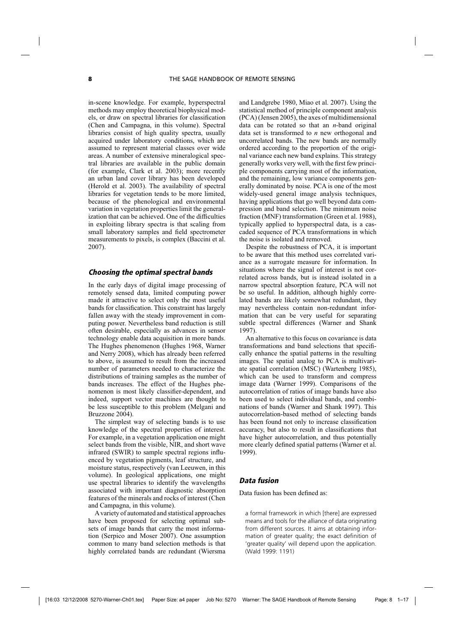in-scene knowledge. For example, hyperspectral methods may employ theoretical biophysical models, or draw on spectral libraries for classification (Chen and Campagna, in this volume). Spectral libraries consist of high quality spectra, usually acquired under laboratory conditions, which are assumed to represent material classes over wide areas. A number of extensive mineralogical spectral libraries are available in the public domain (for example, Clark et al. 2003); more recently an urban land cover library has been developed (Herold et al. 2003). The availability of spectral libraries for vegetation tends to be more limited, because of the phenological and environmental variation in vegetation properties limit the generalization that can be achieved. One of the difficulties in exploiting library spectra is that scaling from small laboratory samples and field spectrometer measurements to pixels, is complex (Baccini et al. 2007).

#### *Choosing the optimal spectral bands*

In the early days of digital image processing of remotely sensed data, limited computing power made it attractive to select only the most useful bands for classification. This constraint has largely fallen away with the steady improvement in computing power. Nevertheless band reduction is still often desirable, especially as advances in sensor technology enable data acquisition in more bands. The Hughes phenomenon (Hughes 1968, Warner and Nerry 2008), which has already been referred to above, is assumed to result from the increased number of parameters needed to characterize the distributions of training samples as the number of bands increases. The effect of the Hughes phenomenon is most likely classifier-dependent, and indeed, support vector machines are thought to be less susceptible to this problem (Melgani and Bruzzone 2004).

The simplest way of selecting bands is to use knowledge of the spectral properties of interest. For example, in a vegetation application one might select bands from the visible, NIR, and short wave infrared (SWIR) to sample spectral regions influenced by vegetation pigments, leaf structure, and moisture status, respectively (van Leeuwen, in this volume). In geological applications, one might use spectral libraries to identify the wavelengths associated with important diagnostic absorption features of the minerals and rocks of interest (Chen and Campagna, in this volume).

A variety of automated and statistical approaches have been proposed for selecting optimal subsets of image bands that carry the most information (Serpico and Moser 2007). One assumption common to many band selection methods is that highly correlated bands are redundant (Wiersma and Landgrebe 1980, Miao et al. 2007). Using the statistical method of principle component analysis (PCA) (Jensen 2005), the axes of multidimensional data can be rotated so that an *n*-band original data set is transformed to *n* new orthogonal and uncorrelated bands. The new bands are normally ordered according to the proportion of the original variance each new band explains. This strategy generally works very well, with the first few principle components carrying most of the information, and the remaining, low variance components generally dominated by noise. PCA is one of the most widely-used general image analysis techniques, having applications that go well beyond data compression and band selection. The minimum noise fraction (MNF) transformation (Green et al. 1988), typically applied to hyperspectral data, is a cascaded sequence of PCA transformations in which the noise is isolated and removed.

Despite the robustness of PCA, it is important to be aware that this method uses correlated variance as a surrogate measure for information. In situations where the signal of interest is not correlated across bands, but is instead isolated in a narrow spectral absorption feature, PCA will not be so useful. In addition, although highly correlated bands are likely somewhat redundant, they may nevertheless contain non-redundant information that can be very useful for separating subtle spectral differences (Warner and Shank 1997).

An alternative to this focus on covariance is data transformations and band selections that specifically enhance the spatial patterns in the resulting images. The spatial analog to PCA is multivariate spatial correlation (MSC) (Wartenberg 1985), which can be used to transform and compress image data (Warner 1999). Comparisons of the autocorrelation of ratios of image bands have also been used to select individual bands, and combinations of bands (Warner and Shank 1997). This autocorrelation-based method of selecting bands has been found not only to increase classification accuracy, but also to result in classifications that have higher autocorrelation, and thus potentially more clearly defined spatial patterns (Warner et al. 1999).

#### *Data fusion*

Data fusion has been defined as:

a formal framework in which [there] are expressed means and tools for the alliance of data originating from different sources. It aims at obtaining information of greater quality; the exact definition of 'greater quality' will depend upon the application. (Wald 1999: 1191)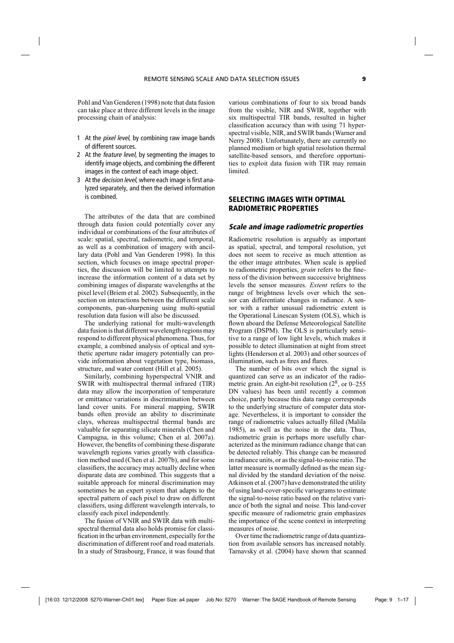Pohl and Van Genderen (1998) note that data fusion can take place at three different levels in the image processing chain of analysis:

- 1 At the *pixel level*, by combining raw image bands of different sources.
- 2 At the *feature level*, by segmenting the images to identify image objects, and combining the different images in the context of each image object.
- 3 At the *decision level*, where each image is first analyzed separately, and then the derived information is combined.

The attributes of the data that are combined through data fusion could potentially cover any individual or combinations of the four attributes of scale: spatial, spectral, radiometric, and temporal, as well as a combination of imagery with ancillary data (Pohl and Van Genderen 1998). In this section, which focuses on image spectral properties, the discussion will be limited to attempts to increase the information content of a data set by combining images of disparate wavelengths at the pixel level (Briem et al. 2002). Subsequently, in the section on interactions between the different scale components, pan-sharpening using multi-spatial resolution data fusion will also be discussed.

The underlying rational for multi-wavelength data fusion is that different wavelength regions may respond to different physical phenomena. Thus, for example, a combined analysis of optical and synthetic aperture radar imagery potentially can provide information about vegetation type, biomass, structure, and water content (Hill et al. 2005).

Similarly, combining hyperspectral VNIR and SWIR with multispectral thermal infrared (TIR) data may allow the incorporation of temperature or emittance variations in discrimination between land cover units. For mineral mapping, SWIR bands often provide an ability to discriminate clays, whereas multispectral thermal bands are valuable for separating silicate minerals (Chen and Campagna, in this volume; Chen et al. 2007a). However, the benefits of combining these disparate wavelength regions varies greatly with classification method used (Chen et al. 2007b), and for some classifiers, the accuracy may actually decline when disparate data are combined. This suggests that a suitable approach for mineral discrimination may sometimes be an expert system that adapts to the spectral pattern of each pixel to draw on different classifiers, using different wavelength intervals, to classify each pixel independently.

The fusion of VNIR and SWIR data with multispectral thermal data also holds promise for classification in the urban environment, especially for the discrimination of different roof and road materials. In a study of Strasbourg, France, it was found that various combinations of four to six broad bands from the visible, NIR and SWIR, together with six multispectral TIR bands, resulted in higher classification accuracy than with using 71 hyperspectral visible, NIR, and SWIR bands (Warner and Nerry 2008). Unfortunately, there are currently no planned medium or high spatial resolution thermal satellite-based sensors, and therefore opportunities to exploit data fusion with TIR may remain limited.

# SELECTING IMAGES WITH OPTIMAL RADIOMETRIC PROPERTIES

#### *Scale and image radiometric properties*

Radiometric resolution is arguably as important as spatial, spectral, and temporal resolution, yet does not seem to receive as much attention as the other image attributes. When scale is applied to radiometric properties, *grain* refers to the fineness of the division between successive brightness levels the sensor measures. *Extent* refers to the range of brightness levels over which the sensor can differentiate changes in radiance. A sensor with a rather unusual radiometric extent is the Operational Linescan System (OLS), which is flown aboard the Defense Meteorological Satellite Program (DSPM). The OLS is particularly sensitive to a range of low light levels, which makes it possible to detect illumination at night from street lights (Henderson et al. 2003) and other sources of illumination, such as fires and flares.

The number of bits over which the signal is quantized can serve as an indicator of the radiometric grain. An eight-bit resolution  $(2^8)$ , or 0–255 DN values) has been until recently a common choice, partly because this data range corresponds to the underlying structure of computer data storage. Nevertheless, it is important to consider the range of radiometric values actually filled (Malila 1985), as well as the noise in the data. Thus, radiometric grain is perhaps more usefully characterized as the minimum radiance change that can be detected reliably. This change can be measured in radiance units, or as the signal-to-noise ratio. The latter measure is normally defined as the mean signal divided by the standard deviation of the noise. Atkinson et al. (2007) have demonstrated the utility of using land-cover-specific variograms to estimate the signal-to-noise ratio based on the relative variance of both the signal and noise. This land-cover specific measure of radiometric grain emphasizes the importance of the scene context in interpreting measures of noise.

Over time the radiometric range of data quantization from available sensors has increased notably. Tarnavsky et al. (2004) have shown that scanned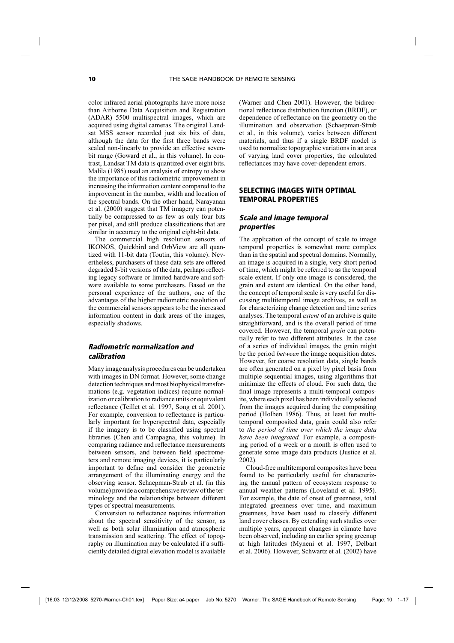color infrared aerial photographs have more noise than Airborne Data Acquisition and Registration (ADAR) 5500 multispectral images, which are acquired using digital cameras. The original Landsat MSS sensor recorded just six bits of data, although the data for the first three bands were scaled non-linearly to provide an effective sevenbit range (Goward et al., in this volume). In contrast, Landsat TM data is quantized over eight bits. Malila (1985) used an analysis of entropy to show the importance of this radiometric improvement in increasing the information content compared to the improvement in the number, width and location of the spectral bands. On the other hand, Narayanan et al. (2000) suggest that TM imagery can potentially be compressed to as few as only four bits per pixel, and still produce classifications that are similar in accuracy to the original eight-bit data.

The commercial high resolution sensors of IKONOS, Quickbird and OrbView are all quantized with 11-bit data (Toutin, this volume). Nevertheless, purchasers of these data sets are offered degraded 8-bit versions of the data, perhaps reflecting legacy software or limited hardware and software available to some purchasers. Based on the personal experience of the authors, one of the advantages of the higher radiometric resolution of the commercial sensors appears to be the increased information content in dark areas of the images, especially shadows.

# *Radiometric normalization and calibration*

Many image analysis procedures can be undertaken with images in DN format. However, some change detection techniques and most biophysical transformations (e.g. vegetation indices) require normalization or calibration to radiance units or equivalent reflectance (Teillet et al. 1997, Song et al. 2001). For example, conversion to reflectance is particularly important for hyperspectral data, especially if the imagery is to be classified using spectral libraries (Chen and Campagna, this volume). In comparing radiance and reflectance measurements between sensors, and between field spectrometers and remote imaging devices, it is particularly important to define and consider the geometric arrangement of the illuminating energy and the observing sensor. Schaepman-Strub et al. (in this volume) provide a comprehensive review of the terminology and the relationships between different types of spectral measurements.

Conversion to reflectance requires information about the spectral sensitivity of the sensor, as well as both solar illumination and atmospheric transmission and scattering. The effect of topography on illumination may be calculated if a sufficiently detailed digital elevation model is available (Warner and Chen 2001). However, the bidirectional reflectance distribution function (BRDF), or dependence of reflectance on the geometry on the illumination and observation (Schaepman-Strub et al., in this volume), varies between different materials, and thus if a single BRDF model is used to normalize topographic variations in an area of varying land cover properties, the calculated reflectances may have cover-dependent errors.

# SELECTING IMAGES WITH OPTIMAL TEMPORAL PROPERTIES

#### *Scale and image temporal properties*

The application of the concept of scale to image temporal properties is somewhat more complex than in the spatial and spectral domains. Normally, an image is acquired in a single, very short period of time, which might be referred to as the temporal scale extent. If only one image is considered, the grain and extent are identical. On the other hand, the concept of temporal scale is very useful for discussing multitemporal image archives, as well as for characterizing change detection and time series analyses. The temporal *extent* of an archive is quite straightforward, and is the overall period of time covered. However, the temporal *grain* can potentially refer to two different attributes. In the case of a series of individual images, the grain might be the period *between* the image acquisition dates. However, for coarse resolution data, single bands are often generated on a pixel by pixel basis from multiple sequential images, using algorithms that minimize the effects of cloud. For such data, the final image represents a multi-temporal composite, where each pixel has been individually selected from the images acquired during the compositing period (Holben 1986). Thus, at least for multitemporal composited data, grain could also refer to *the period of time over which the image data have been integrated.* For example, a compositing period of a week or a month is often used to generate some image data products (Justice et al. 2002).

Cloud-free multitemporal composites have been found to be particularly useful for characterizing the annual pattern of ecosystem response to annual weather patterns (Loveland et al. 1995). For example, the date of onset of greenness, total integrated greenness over time, and maximum greenness, have been used to classify different land cover classes. By extending such studies over multiple years, apparent changes in climate have been observed, including an earlier spring greenup at high latitudes (Myneni et al. 1997, Delbart et al. 2006). However, Schwartz et al. (2002) have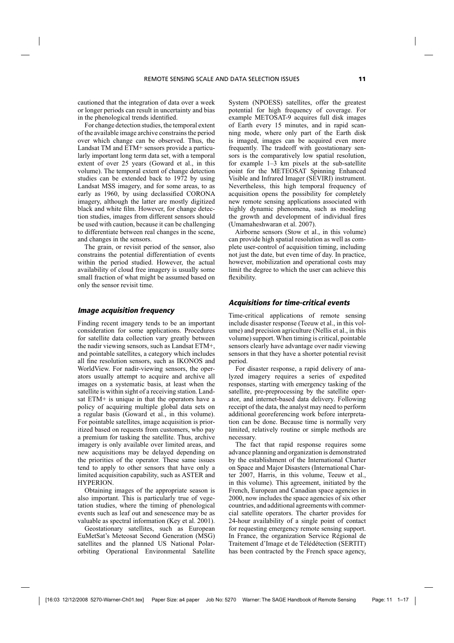cautioned that the integration of data over a week or longer periods can result in uncertainty and bias in the phenological trends identified.

For change detection studies, the temporal extent of the available image archive constrains the period over which change can be observed. Thus, the Landsat TM and ETM+ sensors provide a particularly important long term data set, with a temporal extent of over 25 years (Goward et al., in this volume). The temporal extent of change detection studies can be extended back to 1972 by using Landsat MSS imagery, and for some areas, to as early as 1960, by using declassified CORONA imagery, although the latter are mostly digitized black and white film. However, for change detection studies, images from different sensors should be used with caution, because it can be challenging to differentiate between real changes in the scene, and changes in the sensors.

The grain, or revisit period of the sensor, also constrains the potential differentiation of events within the period studied. However, the actual availability of cloud free imagery is usually some small fraction of what might be assumed based on only the sensor revisit time.

#### *Image acquisition frequency*

Finding recent imagery tends to be an important consideration for some applications. Procedures for satellite data collection vary greatly between the nadir viewing sensors, such as Landsat ETM+, and pointable satellites, a category which includes all fine resolution sensors, such as IKONOS and WorldView. For nadir-viewing sensors, the operators usually attempt to acquire and archive all images on a systematic basis, at least when the satellite is within sight of a receiving station. Landsat ETM+ is unique in that the operators have a policy of acquiring multiple global data sets on a regular basis (Goward et al., in this volume). For pointable satellites, image acquisition is prioritized based on requests from customers, who pay a premium for tasking the satellite. Thus, archive imagery is only available over limited areas, and new acquisitions may be delayed depending on the priorities of the operator. These same issues tend to apply to other sensors that have only a limited acquisition capability, such as ASTER and HYPERION.

Obtaining images of the appropriate season is also important. This is particularly true of vegetation studies, where the timing of phenological events such as leaf out and senescence may be as valuable as spectral information (Key et al. 2001).

Geostationary satellites, such as European EuMetSat's Meteosat Second Generation (MSG) satellites and the planned US National Polarorbiting Operational Environmental Satellite System (NPOESS) satellites, offer the greatest potential for high frequency of coverage. For example METOSAT-9 acquires full disk images of Earth every 15 minutes, and in rapid scanning mode, where only part of the Earth disk is imaged, images can be acquired even more frequently. The tradeoff with geostationary sensors is the comparatively low spatial resolution, for example 1–3 km pixels at the sub-satellite point for the METEOSAT Spinning Enhanced Visible and Infrared Imager (SEVIRI) instrument. Nevertheless, this high temporal frequency of acquisition opens the possibility for completely new remote sensing applications associated with highly dynamic phenomena, such as modeling the growth and development of individual fires (Umamaheshwaran et al. 2007).

Airborne sensors (Stow et al., in this volume) can provide high spatial resolution as well as complete user-control of acquisition timing, including not just the date, but even time of day. In practice, however, mobilization and operational costs may limit the degree to which the user can achieve this flexibility.

#### *Acquisitions for time-critical events*

Time-critical applications of remote sensing include disaster response (Teeuw et al., in this volume) and precision agriculture (Nellis et al., in this volume) support. When timing is critical, pointable sensors clearly have advantage over nadir viewing sensors in that they have a shorter potential revisit period.

For disaster response, a rapid delivery of analyzed imagery requires a series of expedited responses, starting with emergency tasking of the satellite, pre-preprocessing by the satellite operator, and internet-based data delivery. Following receipt of the data, the analyst may need to perform additional georeferencing work before interpretation can be done. Because time is normally very limited, relatively routine or simple methods are necessary.

The fact that rapid response requires some advance planning and organization is demonstrated by the establishment of the International Charter on Space and Major Disasters (International Charter 2007, Harris, in this volume, Teeuw et al., in this volume). This agreement, initiated by the French, European and Canadian space agencies in 2000, now includes the space agencies of six other countries, and additional agreements with commercial satellite operators. The charter provides for 24-hour availability of a single point of contact for requesting emergency remote sensing support. In France, the organization Service Régional de Traitement d'Image et de Télédétection (SERTIT) has been contracted by the French space agency,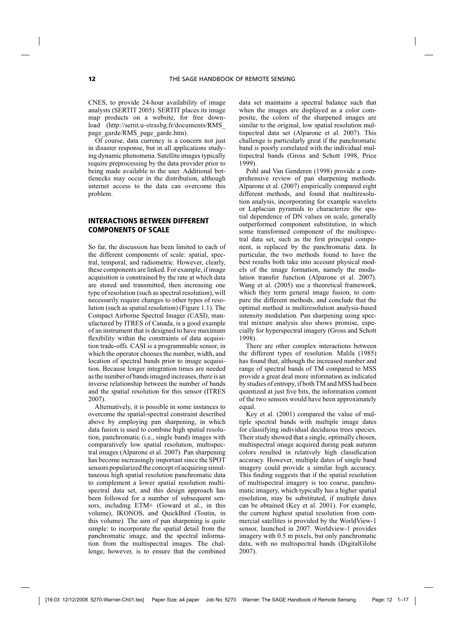CNES, to provide 24-hour availability of image analysts (SERTIT 2005). SERTIT places its image map products on a website, for free download (http://sertit.u-strasbg.fr/documents/RMS\_ page\_garde/RMS\_page\_garde.htm).

Of course, data currency is a concern not just in disaster response, but in all applications studying dynamic phenomena. Satellite images typically require preprocessing by the data provider prior to being made available to the user. Additional bottlenecks may occur in the distribution, although internet access to the data can overcome this problem.

# INTERACTIONS BETWEEN DIFFERENT COMPONENTS OF SCALE

So far, the discussion has been limited to each of the different components of scale: spatial, spectral, temporal, and radiometric. However, clearly, these components are linked. For example, if image acquisition is constrained by the rate at which data are stored and transmitted, then increasing one type of resolution (such as spectral resolution), will necessarily require changes to other types of resolution (such as spatial resolution) (Figure 1.1). The Compact Airborne Spectral Imager (CASI), manufactured by ITRES of Canada, is a good example of an instrument that is designed to have maximum flexibility within the constraints of data acquisition trade-offs. CASI is a programmable sensor, in which the operator chooses the number, width, and location of spectral bands prior to image acquisition. Because longer integration times are needed as the number of bands imaged increases, there is an inverse relationship between the number of bands and the spatial resolution for this sensor (ITRES 2007).

Alternatively, it is possible in some instances to overcome the spatial-spectral constraint described above by employing pan sharpening, in which data fusion is used to combine high spatial resolution, panchromatic (i.e., single band) images with comparatively low spatial resolution, multispectral images (Alparone et al. 2007). Pan sharpening has become increasingly important since the SPOT sensors popularized the concept of acquiring simultaneous high spatial resolution panchromatic data to complement a lower spatial resolution multispectral data set, and this design approach has been followed for a number of subsequent sensors, including ETM+ (Goward et al., in this volume), IKONOS, and QuickBird (Toutin, in this volume). The aim of pan sharpening is quite simple: to incorporate the spatial detail from the panchromatic image, and the spectral information from the multispectral images. The challenge, however, is to ensure that the combined data set maintains a spectral balance such that when the images are displayed as a color composite, the colors of the sharpened images are similar to the original, low spatial resolution multispectral data set (Alparone et al. 2007). This challenge is particularly great if the panchromatic band is poorly correlated with the individual multispectral bands (Gross and Schott 1998, Price 1999).

Pohl and Van Genderen (1998) provide a comprehensive review of pan sharpening methods. Alparone et al. (2007) empirically compared eight different methods, and found that multiresolution analysis, incorporating for example wavelets or Laplacian pyramids to characterize the spatial dependence of DN values on scale, generally outperformed component substitution, in which some transformed component of the multispectral data set, such as the first principal component, is replaced by the panchromatic data. In particular, the two methods found to have the best results both take into account physical models of the image formation, namely the modulation transfer function (Alparone et al. 2007). Wang et al. (2005) use a theoretical framework, which they term general image fusion, to compare the different methods, and conclude that the optimal method is multiresolution analysis-based intensity modulation. Pan sharpening using spectral mixture analysis also shows promise, especially for hyperspectral imagery (Gross and Schott 1998).

There are other complex interactions between the different types of resolution. Malila (1985) has found that, although the increased number and range of spectral bands of TM compared to MSS provide a great deal more information as indicated by studies of entropy, if both TM and MSS had been quantized at just five bits, the information content of the two sensors would have been approximately equal.

Key et al. (2001) compared the value of multiple spectral bands with multiple image dates for classifying individual deciduous trees species. Their study showed that a single, optimally chosen, multispectral image acquired during peak autumn colors resulted in relatively high classification accuracy. However, multiple dates of single band imagery could provide a similar high accuracy. This finding suggests that if the spatial resolution of multispectral imagery is too coarse, panchromatic imagery, which typically has a higher spatial resolution, may be substituted, if multiple dates can be obtained (Key et al. 2001). For example, the current highest spatial resolution from commercial satellites is provided by the WorldView-1 sensor, launched in 2007. Worldview-1 provides imagery with 0.5 m pixels, but only panchromatic data, with no multispectral bands (DigitalGlobe 2007).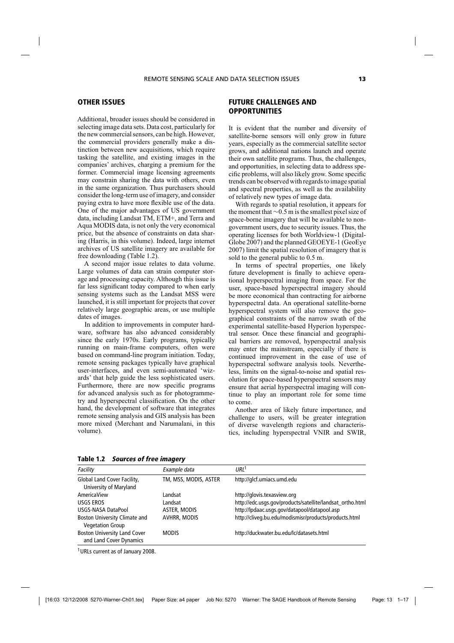#### OTHER ISSUES

Additional, broader issues should be considered in selecting image data sets. Data cost, particularly for the new commercial sensors, can be high. However, the commercial providers generally make a distinction between new acquisitions, which require tasking the satellite, and existing images in the companies' archives, charging a premium for the former. Commercial image licensing agreements may constrain sharing the data with others, even in the same organization. Thus purchasers should consider the long-term use of imagery, and consider paying extra to have more flexible use of the data. One of the major advantages of US government data, including Landsat TM, ETM+, and Terra and Aqua MODIS data, is not only the very economical price, but the absence of constraints on data sharing (Harris, in this volume). Indeed, large internet archives of US satellite imagery are available for free downloading (Table 1.2).

A second major issue relates to data volume. Large volumes of data can strain computer storage and processing capacity. Although this issue is far less significant today compared to when early sensing systems such as the Landsat MSS were launched, it is still important for projects that cover relatively large geographic areas, or use multiple dates of images.

In addition to improvements in computer hardware, software has also advanced considerably since the early 1970s. Early programs, typically running on main-frame computers, often were based on command-line program initiation. Today, remote sensing packages typically have graphical user-interfaces, and even semi-automated 'wizards' that help guide the less sophisticated users. Furthermore, there are now specific programs for advanced analysis such as for photogrammetry and hyperspectral classification. On the other hand, the development of software that integrates remote sensing analysis and GIS analysis has been more mixed (Merchant and Narumalani, in this volume).

#### FUTURE CHALLENGES AND **OPPORTUNITIES**

It is evident that the number and diversity of satellite-borne sensors will only grow in future years, especially as the commercial satellite sector grows, and additional nations launch and operate their own satellite programs. Thus, the challenges, and opportunities, in selecting data to address specific problems, will also likely grow. Some specific trends can be observed with regards to image spatial and spectral properties, as well as the availability of relatively new types of image data.

With regards to spatial resolution, it appears for the moment that ∼0.5 m is the smallest pixel size of space-borne imagery that will be available to nongovernment users, due to security issues. Thus, the operating licenses for both Worldview-1 (Digital-Globe 2007) and the planned GEOEYE-1 (GeoEye 2007) limit the spatial resolution of imagery that is sold to the general public to 0.5 m.

In terms of spectral properties, one likely future development is finally to achieve operational hyperspectral imaging from space. For the user, space-based hyperspectral imagery should be more economical than contracting for airborne hyperspectral data. An operational satellite-borne hyperspectral system will also remove the geographical constraints of the narrow swath of the experimental satellite-based Hyperion hyperspectral sensor. Once these financial and geographical barriers are removed, hyperspectral analysis may enter the mainstream, especially if there is continued improvement in the ease of use of hyperspectral software analysis tools. Nevertheless, limits on the signal-to-noise and spatial resolution for space-based hyperspectral sensors may ensure that aerial hyperspectral imaging will continue to play an important role for some time to come.

Another area of likely future importance, and challenge to users, will be greater integration of diverse wavelength regions and characteristics, including hyperspectral VNIR and SWIR,

| Facility                                                        | Example data          | URL <sup>1</sup>                                          |  |  |
|-----------------------------------------------------------------|-----------------------|-----------------------------------------------------------|--|--|
| Global Land Cover Facility,<br>University of Maryland           | TM, MSS, MODIS, ASTER | http://glcf.umiacs.umd.edu                                |  |  |
| AmericaView                                                     | Landsat               | http://glovis.texasview.org                               |  |  |
| <b>USGS EROS</b>                                                | Landsat               | http://edc.usqs.gov/products/satellite/landsat_ortho.html |  |  |
| USGS-NASA DataPool                                              | ASTER, MODIS          | http://lpdaac.usgs.gov/datapool/datapool.asp              |  |  |
| <b>Boston University Climate and</b><br><b>Vegetation Group</b> | <b>AVHRR, MODIS</b>   | http://cliveq.bu.edu/modismisr/products/products.html     |  |  |
| <b>Boston University Land Cover</b><br>and Land Cover Dynamics  | <b>MODIS</b>          | http://duckwater.bu.edu/lc/datasets.html                  |  |  |

Table 1.2 *Sources of free imagery*

<sup>1</sup>URLs current as of January 2008.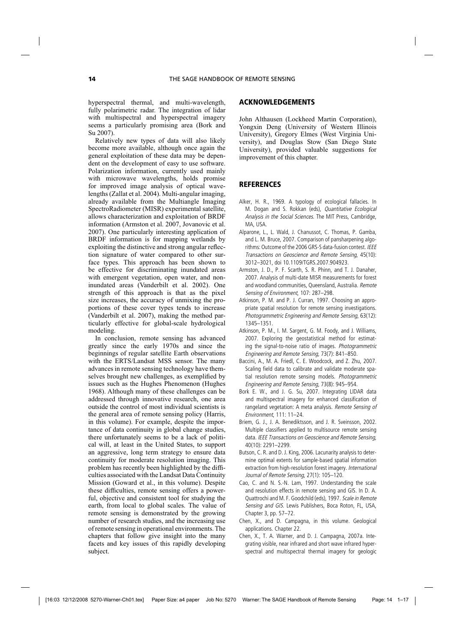hyperspectral thermal, and multi-wavelength, fully polarimetric radar. The integration of lidar with multispectral and hyperspectral imagery seems a particularly promising area (Bork and Su 2007).

Relatively new types of data will also likely become more available, although once again the general exploitation of these data may be dependent on the development of easy to use software. Polarization information, currently used mainly with microwave wavelengths, holds promise for improved image analysis of optical wavelengths (Zallat et al. 2004). Multi-angular imaging, already available from the Multiangle Imaging SpectroRadiometer (MISR) experimental satellite, allows characterization and exploitation of BRDF information (Armston et al. 2007, Jovanovic et al. 2007). One particularly interesting application of BRDF information is for mapping wetlands by exploiting the distinctive and strong angular reflection signature of water compared to other surface types. This approach has been shown to be effective for discriminating inundated areas with emergent vegetation, open water, and noninundated areas (Vanderbilt et al. 2002). One strength of this approach is that as the pixel size increases, the accuracy of unmixing the proportions of these cover types tends to increase (Vanderbilt et al. 2007), making the method particularly effective for global-scale hydrological modeling.

In conclusion, remote sensing has advanced greatly since the early 1970s and since the beginnings of regular satellite Earth observations with the ERTS/Landsat MSS sensor. The many advances in remote sensing technology have themselves brought new challenges, as exemplified by issues such as the Hughes Phenomenon (Hughes 1968). Although many of these challenges can be addressed through innovative research, one area outside the control of most individual scientists is the general area of remote sensing policy (Harris, in this volume). For example, despite the importance of data continuity in global change studies, there unfortunately seems to be a lack of political will, at least in the United States, to support an aggressive, long term strategy to ensure data continuity for moderate resolution imaging. This problem has recently been highlighted by the difficulties associated with the Landsat Data Continuity Mission (Goward et al., in this volume). Despite these difficulties, remote sensing offers a powerful, objective and consistent tool for studying the earth, from local to global scales. The value of remote sensing is demonstrated by the growing number of research studies, and the increasing use of remote sensing in operational environments. The chapters that follow give insight into the many facets and key issues of this rapidly developing subject.

#### ACKNOWLEDGEMENTS

John Althausen (Lockheed Martin Corporation), Yongxin Deng (University of Western Illinois University), Gregory Elmes (West Virginia University), and Douglas Stow (San Diego State University), provided valuable suggestions for improvement of this chapter.

#### **REFERENCES**

- Alker, H. R., 1969. A typology of ecological fallacies. In M. Dogan and S. Rokkan (eds), *Quantitative Ecological Analysis in the Social Sciences*. The MIT Press, Cambridge, MA, USA.
- Alparone, L., L. Wald, J. Chanussot, C. Thomas, P. Gamba, and L. M. Bruce, 2007. Comparison of pansharpening algorithms: Outcome of the 2006 GRS-S data-fusion contest. *IEEE Transactions on Geoscience and Remote Sensing*, 45(10): 3012–3021, doi 10.1109/TGRS.2007.904923.
- Armston, J. D., P. F. Scarth, S. R. Phinn, and T. J. Danaher, 2007. Analysis of multi-date MISR measurements for forest and woodland communities, Queensland, Australia. *Remote Sensing of Environment*, 107: 287–298.
- Atkinson, P. M. and P. J. Curran, 1997. Choosing an appropriate spatial resolution for remote sensing investigations. *Photogrammetric Engineering and Remote Sensing*, 63(12): 1345–1351.
- Atkinson, P. M., I. M. Sargent, G. M. Foody, and J. Williams, 2007. Exploring the geostatistical method for estimating the signal-to-noise ratio of images. *Photogrammetric Engineering and Remote Sensing*, 73(7): 841–850.
- Baccini, A., M. A. Friedl, C. E. Woodcock, and Z. Zhu, 2007. Scaling field data to calibrate and validate moderate spatial resolution remote sensing models. *Photogrammetric Engineering and Remote Sensing*, 73(8): 945–954.
- Bork E. W., and J. G. Su, 2007. Integrating LIDAR data and multispectral imagery for enhanced classification of rangeland vegetation: A meta analysis. *Remote Sensing of Environment*, 111: 11–24.
- Briem, G. J., J. A. Benediktsson, and J. R. Sveinsson, 2002. Multiple classifiers applied to multisource remote sensing data. *IEEE Transactions on Geoscience and Remote Sensing*, 40(10): 2291–2299.
- Butson, C. R. and D. J. King, 2006. Lacunarity analysis to determine optimal extents for sample-based spatial information extraction from high-resolution forest imagery. *International Journal of Remote Sensing*, 27(1): 105–120.
- Cao, C. and N. S.-N. Lam, 1997. Understanding the scale and resolution effects in remote sensing and GIS. In D. A. Quattrochi and M. F. Goodchild (eds), 1997. *Scale in Remote Sensing and GIS*. Lewis Publishers, Boca Roton, FL, USA, Chapter 3, pp. 57–72.
- Chen, X., and D. Campagna, in this volume. Geological applications. Chapter 22.
- Chen, X., T. A. Warner, and D. J. Campagna, 2007a. Integrating visible, near infrared and short wave infrared hyperspectral and multispectral thermal imagery for geologic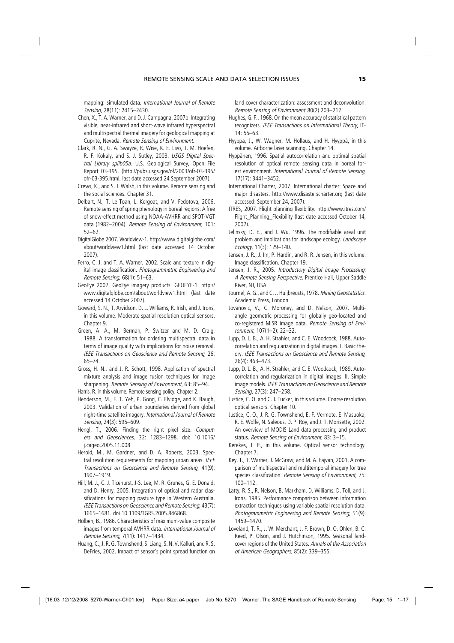mapping: simulated data. *International Journal of Remote Sensing*, 28(11): 2415–2430.

- Chen, X., T. A. Warner, and D. J. Campagna, 2007b. Integrating visible, near-infrared and short-wave infrared hyperspectral and multispectral thermal imagery for geological mapping at Cuprite, Nevada. *Remote Sensing of Environment*.
- Clark, R. N., G. A. Swayze, R. Wise, K. E. Livo, T. M. Hoefen, R. F. Kokaly, and S. J. Sutley, 2003. *USGS Digital Spectral Library splib05a*. U.S. Geological Survey, Open File Report 03-395. (http://pubs.usgs.gov/of/2003/ofr-03-395/ ofr-03-395.html, last date accessed 24 September 2007).
- Crews, K., and S. J. Walsh, in this volume. Remote sensing and the social sciences. Chapter 31.
- Delbart, N., T. Le Toan, L. Kergoat, and V. Fedotova, 2006. Remote sensing of spring phenology in boreal regions: A free of snow-effect method using NOAA-AVHRR and SPOT-VGT data (1982–2004). *Remote Sensing of Environment*, 101: 52–62.
- DigitalGlobe 2007. Worldview-1. http://www.digitalglobe.com/ about/worldview1.html (last date accessed 14 October 2007).
- Ferro, C. J. and T. A. Warner, 2002. Scale and texture in digital image classification. *Photogrammetric Engineering and Remote Sensing*, 68(1): 51–63.
- GeoEye 2007. GeoEye imagery products: GEOEYE-1. http:// www.digitalglobe.com/about/worldview1.html (last date accessed 14 October 2007).
- Goward, S. N., T. Arvidson, D. L. Williams, R. Irish, and J. Irons, in this volume. Moderate spatial resolution optical sensors. Chapter 9.
- Green, A. A., M. Berman, P. Switzer and M. D. Craig, 1988. A transformation for ordering multispectral data in terms of image quality with implications for noise removal. *IEEE Transactions on Geoscience and Remote Sensing*, 26: 65–74.
- Gross, H. N., and J. R. Schott, 1998. Application of spectral mixture analysis and image fusion techniques for image sharpening. *Remote Sensing of Environment*, 63: 85–94. Harris, R. in this volume. Remote sensing policy. Chapter 2.
- Henderson, M., E. T. Yeh, P. Gong, C. Elvidge, and K. Baugh, 2003. Validation of urban boundaries derived from global night-time satellite imagery. *International Journal of Remote Sensing*, 24(3): 595–609.
- Hengl, T., 2006. Finding the right pixel size. *Computers and Geosciences*, 32: 1283–1298. doi: 10.1016/ j.cageo.2005.11.008
- Herold, M., M. Gardner, and D. A. Roberts, 2003. Spectral resolution requirements for mapping urban areas. *IEEE Transactions on Geoscience and Remote Sensing*, 41(9): 1907–1919.
- Hill, M. J., C. J. Ticehurst, J-S. Lee, M. R. Grunes, G. E. Donald, and D. Henry, 2005. Integration of optical and radar classifications for mapping pasture type in Western Australia. *IEEE Transactions on Geoscience and Remote Sensing*, 43(7): 1665–1681. doi 10.1109/TGRS.2005.846868.
- Holben, B., 1986. Characteristics of maximum-value composite images from temporal AVHRR data. *International Journal of Remote Sensing*, 7(11): 1417–1434.
- Huang, C.,J. R. G. Townshend, S. Liang, S. N. V. Kalluri, and R. S. DeFries, 2002. Impact of sensor's point spread function on

land cover characterization: assessment and deconvolution. *Remote Sensing of Environment* 80(2) 203–212.

- Hughes, G. F., 1968. On the mean accuracy of statistical pattern recognizers. *IEEE Transactions on Informational Theory*, IT-14: 55–63.
- Hyyppä, J., W. Wagner, M. Hollaus, and H. Hyyppä, in this volume. Airborne laser scanning. Chapter 14.
- Hyppänen, 1996. Spatial autocorrelation and optimal spatial resolution of optical remote sensing data in boreal forest environment. *International Journal of Remote Sensing*, 17(17): 3441–3452.
- International Charter, 2007. International charter: Space and major disasters. http://www.disasterscharter.org (last date accessed: September 24, 2007).
- ITRES, 2007. Flight planning flexibility. http://www.itres.com/ Flight\_Planning\_Flexibility (last date accessed October 14, 2007).
- Jelinsky, D. E., and J. Wu, 1996. The modifiable areal unit problem and implications for landscape ecology. *Landscape Ecology*, 11(3): 129–140.
- Jensen, J. R., J. Im, P. Hardin, and R. R. Jensen, in this volume. Image classification. Chapter 19.
- Jensen, J. R., 2005. *Introductory Digital Image Processing: A Remote Sensing Perspective*. Prentice Hall, Upper Saddle River, NJ, USA.
- Journel, A. G., and C. J. Huijbregsts, 1978. *Mining Geostatistics*. Academic Press, London.
- Jovanovic, V., C. Moroney, and D. Nelson, 2007. Multiangle geometric processing for globally geo-located and co-registered MISR image data. *Remote Sensing of Environment*, 107(1–2): 22–32.
- Jupp, D. L. B., A. H. Strahler, and C. E. Woodcock, 1988. Autocorrelation and regularization in digital images. I. Basic theory. *IEEE Transactions on Geoscience and Remote Sensing*, 26(4): 463–473.
- Jupp, D. L. B., A. H. Strahler, and C. E. Woodcock, 1989. Autocorrelation and regularization in digital images. II. Simple image models. *IEEE Transactions on Geoscience and Remote Sensing*, 27(3): 247–258.
- Justice, C. O. and C. J. Tucker, in this volume. Coarse resolution optical sensors. Chapter 10.
- Justice, C. O., J. R. G. Townshend, E. F. Vermote, E. Masuoka, R. E. Wolfe, N. Saleous, D. P. Roy, and J. T. Morisette, 2002. An overview of MODIS Land data processing and product status. *Remote Sensing of Environment*, 83: 3–15.
- Kerekes, J. P., in this volume. Optical sensor technology. Chapter 7.
- Key, T., T. Warner, J. McGraw, and M. A. Fajvan, 2001. A comparison of multispectral and multitemporal imagery for tree species classification. *Remote Sensing of Environment*, 75: 100–112.
- Latty, R. S., R. Nelson, B. Markham, D. Williams, D. Toll, and J. Irons, 1985. Performance comparison between information extraction techniques using variable spatial resolution data. *Photogrammetric Engineering and Remote Sensing*, 51(9): 1459–1470.
- Loveland, T. R., J. W. Merchant, J. F. Brown, D. O. Ohlen, B. C. Reed, P. Olson, and J. Hutchinson, 1995. Seasonal landcover regions of the United States. *Annals of the Association of American Geographers*, 85(2): 339–355.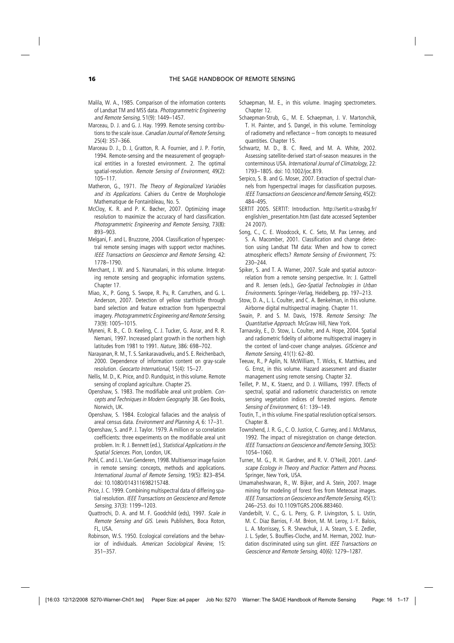- Malila, W. A., 1985. Comparison of the information contents of Landsat TM and MSS data. *Photogrammetric Engineering and Remote Sensing*, 51(9): 1449–1457.
- Marceau, D. J. and G. J. Hay. 1999. Remote sensing contributions to the scale issue. *Canadian Journal of Remote Sensing,* 25(4): 357–366.
- Marceau D. J., D. J, Gratton, R. A. Fournier, and J. P. Fortin, 1994. Remote-sensing and the measurement of geographical entities in a forested environment. 2. The optimal spatial-resolution. *Remote Sensing of Environment*, 49(2): 105–117.
- Matheron, G., 1971. *The Theory of Regionalized Variables and its Applications*. Cahiers du Centre de Morphologie Mathematique de Fontainbleau, No. 5.
- McCloy, K. R. and P. K. Bøcher, 2007. Optimizing image resolution to maximize the accuracy of hard classification. *Photogrammetric Engineering and Remote Sensing*, 73(8): 893–903.
- Melgani, F. and L. Bruzzone, 2004. Classification of hyperspectral remote sensing images with support vector machines. *IEEE Transactions on Geoscience and Remote Sensing*, 42: 1778–1790.
- Merchant, J. W. and S. Narumalani, in this volume. Integrating remote sensing and geographic information systems. Chapter 17.
- Miao, X., P. Gong, S. Swope, R. Pu, R. Carruthers, and G. L. Anderson, 2007. Detection of yellow starthistle through band selection and feature extraction from hyperspectral imagery. *Photogrammetric Engineering and Remote Sensing*, 73(9): 1005–1015.
- Myneni, R. B., C. D. Keeling, C. J. Tucker, G. Asrar, and R. R. Nemani, 1997. Increased plant growth in the northern high latitudes from 1981 to 1991. *Nature*, 386: 698–702.
- Narayanan, R. M., T. S. Sankaravadivelu, and S. E. Reichenbach, 2000. Dependence of information content on gray-scale resolution. *Geocarto International*, 15(4): 15–27.
- Nellis, M. D., K. Price, and D. Rundquist, in this volume. Remote sensing of cropland agriculture. Chapter 25.
- Openshaw, S. 1983. The modifiable areal unit problem. *Concepts and Techniques in Modern Geography* 38. Geo Books, Norwich, UK.
- Openshaw, S. 1984. Ecological fallacies and the analysis of areal census data. *Environment and Planning A*, 6: 17–31.
- Openshaw, S. and P. J. Taylor. 1979. A million or so correlation coefficients: three experiments on the modifiable areal unit problem. In: R. J. Bennett (ed.), *Statistical Applications in the Spatial Sciences*. Pion, London, UK.
- Pohl, C. and J. L. Van Genderen, 1998. Multisensor image fusion in remote sensing: concepts, methods and applications. *International Journal of Remote Sensing*, 19(5): 823–854. doi: 10.1080/014311698215748.
- Price, J. C. 1999. Combining multispectral data of differing spatial resolution. *IEEE Transactions on Geoscience and Remote Sensing*, 37(3): 1199–1203.
- Quattrochi, D. A. and M. F. Goodchild (eds), 1997. *Scale in Remote Sensing and GIS*. Lewis Publishers, Boca Roton, FL, USA.
- Robinson, W.S. 1950. Ecological correlations and the behavior of individuals. *American Sociological Review*, 15: 351–357.

Schaepman, M. E., in this volume. Imaging spectrometers. Chapter 12.

- Schaepman-Strub, G., M. E. Schaepman, J. V. Martonchik, T. H. Painter, and S. Dangel, in this volume. Terminology of radiometry and reflectance – from concepts to measured quantities. Chapter 15.
- Schwartz, M. D., B. C. Reed, and M. A. White, 2002. Assessing satellite-derived start-of-season measures in the conterminous USA. *International Journal of Climatology*, 22: 1793–1805. doi: 10.1002/joc.819.
- Serpico, S. B. and G. Moser, 2007. Extraction of spectral channels from hyperspectral images for classification purposes. *IEEE Transactions on Geoscience and Remote Sensing*, 45(2): 484–495.
- SERTIT 2005. SERTIT: Introduction. http://sertit.u-strasbg.fr/ english/en\_presentation.htm (last date accessed September 24 2007).
- Song, C., C. E. Woodcock, K. C. Seto, M. Pax Lenney, and S. A. Macomber, 2001. Classification and change detection using Landsat TM data: When and how to correct atmospheric effects? *Remote Sensing of Environment*, 75: 230–244.
- Spiker, S. and T. A. Warner, 2007. Scale and spatial autocorrelation from a remote sensing perspective. In: J. Gattrell and R. Jensen (eds.), *Geo-Spatial Technologies in Urban Environments*. Springer-Verlag, Heidelberg, pp. 197–213.
- Stow, D. A., L. L. Coulter, and C. A. Benkelman, in this volume. Airborne digital multispectral imaging. Chapter 11.
- Swain, P. and S. M. Davis, 1978. *Remote Sensing: The Quantitative Approach*. McGraw Hill, New York.
- Tarnavsky, E., D. Stow, L. Coulter, and A. Hope, 2004. Spatial and radiometric fidelity of airborne multispectral imagery in the context of land-cover change analyses. *GIScience and Remote Sensing*, 41(1): 62–80.
- Teeuw, R., P Aplin, N. McWilliam, T. Wicks, K. Matthieu, and G. Ernst, in this volume. Hazard assessment and disaster management using remote sensing. Chapter 32.
- Teillet, P. M., K. Staenz, and D. J. Williams, 1997. Effects of spectral, spatial and radiometric characteristics on remote sensing vegetation indices of forested regions. *Remote Sensing of Environment*, 61: 139–149.
- Toutin, T., in this volume. Fine spatial resolution optical sensors. Chapter 8.
- Townshend, J. R. G., C. O. Justice, C. Gurney, and J. McManus, 1992. The impact of misregistration on change detection. *IEEE Transactions on Geoscience and Remote Sensing*, 30(5): 1054–1060.
- Turner, M. G., R. H. Gardner, and R. V. O'Neill, 2001. *Landscape Ecology in Theory and Practice: Pattern and Process*. Springer, New York, USA.
- Umamaheshwaran, R., W. Bijker, and A. Stein, 2007. Image mining for modeling of forest fires from Meteosat images. *IEEE Transactions on Geoscience and Remote Sensing*, 45(1): 246–253. doi 10.1109/TGRS.2006.883460.
- Vanderbilt, V. C., G. L. Perry, G. P. Livingston, S. L. Ustin, M. C. Diaz Barrios, F.-M. Bréon, M. M. Leroy, J.-Y. Balois, L. A. Morrissey, S. R. Shewchuk, J. A. Stearn, S. E. Zedler, J. L. Syder, S. Bouffies-Cloche, and M. Herman, 2002. Inundation discriminated using sun glint. *IEEE Transactions on Geoscience and Remote Sensing*, 40(6): 1279–1287.